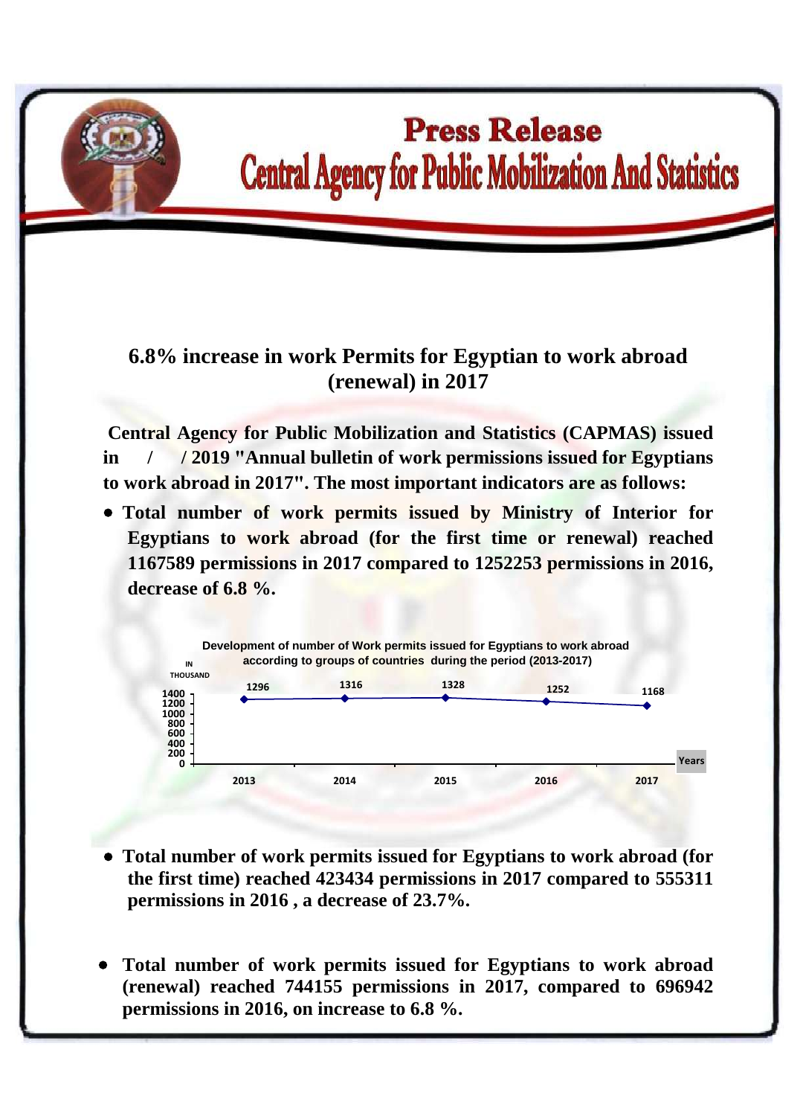

## **Press Release Central Agency for Public Mobilization And Statistics**

## **6.8% increase in work Permits for Egyptian to work abroad (renewal) in 2017**

**Central Agency for Public Mobilization and Statistics (CAPMAS) issued in / / 2019 "Annual bulletin of work permissions issued for Egyptians to work abroad in 2017". The most important indicators are as follows:**

 **Total number of work permits issued by Ministry of Interior for Egyptians to work abroad (for the first time or renewal) reached 1167589 permissions in 2017 compared to 1252253 permissions in 2016, decrease of 6.8 %.**



- **Total number of work permits issued for Egyptians to work abroad (for the first time) reached 423434 permissions in 2017 compared to 555311 permissions in 2016 , a decrease of 23.7%.**
- **Total number of work permits issued for Egyptians to work abroad (renewal) reached 744155 permissions in 2017, compared to 696942 permissions in 2016, on increase to 6.8 %.**